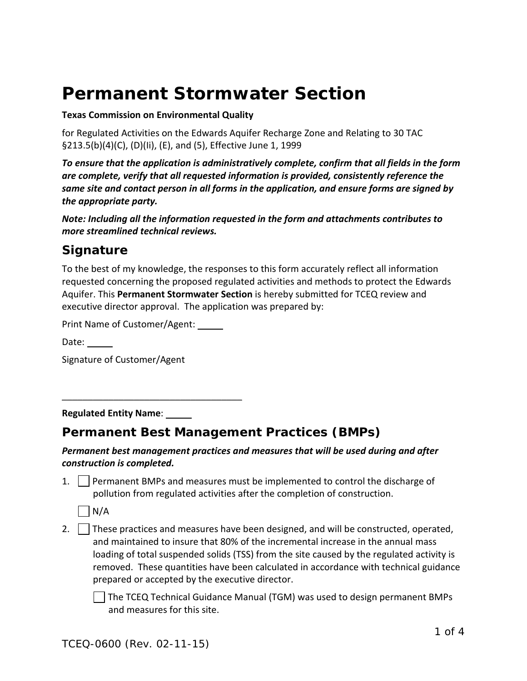# **Permanent Stormwater Section**

#### **Texas Commission on Environmental Quality**

for Regulated Activities on the Edwards Aquifer Recharge Zone and Relating to 30 TAC §213.5(b)(4)(C), (D)(Ii), (E), and (5), Effective June 1, 1999

*To ensure that the application is administratively complete, confirm that all fields in the form are complete, verify that all requested information is provided, consistently reference the same site and contact person in all forms in the application, and ensure forms are signed by the appropriate party.* 

*Note: Including all the information requested in the form and attachments contributes to more streamlined technical reviews.*

## *Signature*

To the best of my knowledge, the responses to this form accurately reflect all information requested concerning the proposed regulated activities and methods to protect the Edwards Aquifer. This **Permanent Stormwater Section** is hereby submitted for TCEQ review and executive director approval. The application was prepared by:

Print Name of Customer/Agent:

 $\overline{\phantom{a}}$  , and the contract of the contract of the contract of the contract of the contract of the contract of the contract of the contract of the contract of the contract of the contract of the contract of the contrac

Date:  $\_\_$ 

Signature of Customer/Agent

**Regulated Entity Name**:

## *Permanent Best Management Practices (BMPs)*

#### *Permanent best management practices and measures that will be used during and after construction is completed.*

1. Permanent BMPs and measures must be implemented to control the discharge of pollution from regulated activities after the completion of construction.



2.  $\vert$  These practices and measures have been designed, and will be constructed, operated, and maintained to insure that 80% of the incremental increase in the annual mass loading of total suspended solids (TSS) from the site caused by the regulated activity is removed. These quantities have been calculated in accordance with technical guidance prepared or accepted by the executive director.

The TCEQ Technical Guidance Manual (TGM) was used to design permanent BMPs and measures for this site.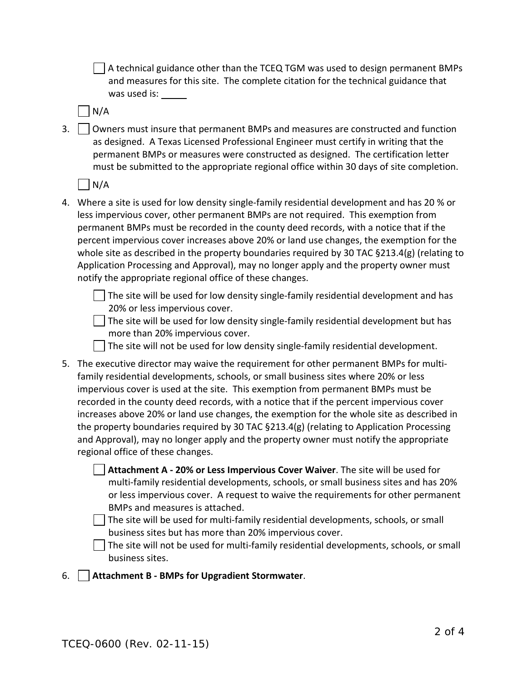$\vert$   $\vert$  A technical guidance other than the TCEQ TGM was used to design permanent BMPs and measures for this site. The complete citation for the technical guidance that was used is:

N/A

 $3.$   $\Box$  Owners must insure that permanent BMPs and measures are constructed and function as designed. A Texas Licensed Professional Engineer must certify in writing that the permanent BMPs or measures were constructed as designed. The certification letter must be submitted to the appropriate regional office within 30 days of site completion.

 $N/A$ 

- 4. Where a site is used for low density single-family residential development and has 20 % or less impervious cover, other permanent BMPs are not required. This exemption from permanent BMPs must be recorded in the county deed records, with a notice that if the percent impervious cover increases above 20% or land use changes, the exemption for the whole site as described in the property boundaries required by 30 TAC §213.4(g) (relating to Application Processing and Approval), may no longer apply and the property owner must notify the appropriate regional office of these changes.
	- $\Box$  The site will be used for low density single-family residential development and has 20% or less impervious cover.
	- $\vert \ \vert$  The site will be used for low density single-family residential development but has more than 20% impervious cover.

The site will not be used for low density single-family residential development.

- 5. The executive director may waive the requirement for other permanent BMPs for multifamily residential developments, schools, or small business sites where 20% or less impervious cover is used at the site. This exemption from permanent BMPs must be recorded in the county deed records, with a notice that if the percent impervious cover increases above 20% or land use changes, the exemption for the whole site as described in the property boundaries required by 30 TAC §213.4(g) (relating to Application Processing and Approval), may no longer apply and the property owner must notify the appropriate regional office of these changes.
	- **Attachment A - 20% or Less Impervious Cover Waiver**. The site will be used for multi-family residential developments, schools, or small business sites and has 20% or less impervious cover. A request to waive the requirements for other permanent BMPs and measures is attached.
	- $\Box$  The site will be used for multi-family residential developments, schools, or small business sites but has more than 20% impervious cover.

The site will not be used for multi-family residential developments, schools, or small business sites.

6. **Attachment B - BMPs for Upgradient Stormwater**.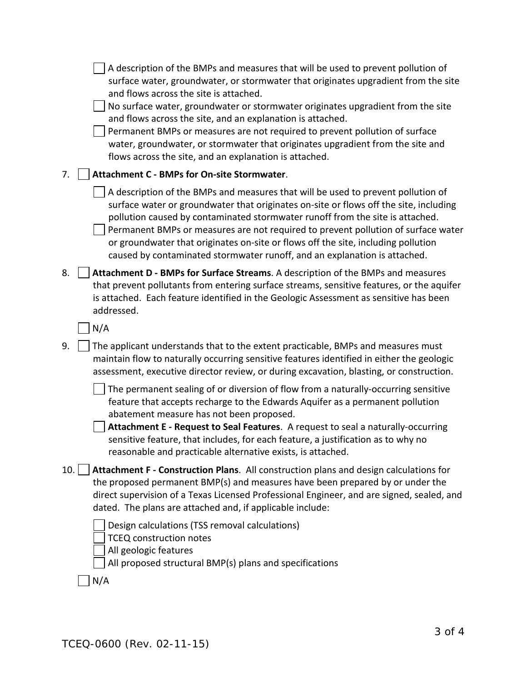|     | A description of the BMPs and measures that will be used to prevent pollution of<br>surface water, groundwater, or stormwater that originates upgradient from the site<br>and flows across the site is attached.<br>No surface water, groundwater or stormwater originates upgradient from the site<br>and flows across the site, and an explanation is attached.<br>Permanent BMPs or measures are not required to prevent pollution of surface<br>water, groundwater, or stormwater that originates upgradient from the site and<br>flows across the site, and an explanation is attached. |
|-----|----------------------------------------------------------------------------------------------------------------------------------------------------------------------------------------------------------------------------------------------------------------------------------------------------------------------------------------------------------------------------------------------------------------------------------------------------------------------------------------------------------------------------------------------------------------------------------------------|
| 7.  | Attachment C - BMPs for On-site Stormwater.                                                                                                                                                                                                                                                                                                                                                                                                                                                                                                                                                  |
|     | A description of the BMPs and measures that will be used to prevent pollution of<br>surface water or groundwater that originates on-site or flows off the site, including<br>pollution caused by contaminated stormwater runoff from the site is attached.<br>Permanent BMPs or measures are not required to prevent pollution of surface water<br>or groundwater that originates on-site or flows off the site, including pollution<br>caused by contaminated stormwater runoff, and an explanation is attached.                                                                            |
| 8.  | Attachment D - BMPs for Surface Streams. A description of the BMPs and measures<br>that prevent pollutants from entering surface streams, sensitive features, or the aquifer<br>is attached. Each feature identified in the Geologic Assessment as sensitive has been<br>addressed.                                                                                                                                                                                                                                                                                                          |
|     | N/A                                                                                                                                                                                                                                                                                                                                                                                                                                                                                                                                                                                          |
| 9.  | The applicant understands that to the extent practicable, BMPs and measures must<br>maintain flow to naturally occurring sensitive features identified in either the geologic<br>assessment, executive director review, or during excavation, blasting, or construction.                                                                                                                                                                                                                                                                                                                     |
|     | The permanent sealing of or diversion of flow from a naturally-occurring sensitive<br>feature that accepts recharge to the Edwards Aquifer as a permanent pollution<br>abatement measure has not been proposed.<br>Attachment E - Request to Seal Features. A request to seal a naturally-occurring<br>sensitive feature, that includes, for each feature, a justification as to why no<br>reasonable and practicable alternative exists, is attached.                                                                                                                                       |
| 10. | Attachment F - Construction Plans. All construction plans and design calculations for<br>the proposed permanent BMP(s) and measures have been prepared by or under the<br>direct supervision of a Texas Licensed Professional Engineer, and are signed, sealed, and<br>dated. The plans are attached and, if applicable include:                                                                                                                                                                                                                                                             |
|     | Design calculations (TSS removal calculations)<br><b>TCEQ construction notes</b><br>All geologic features<br>All proposed structural BMP(s) plans and specifications                                                                                                                                                                                                                                                                                                                                                                                                                         |
|     | N/A                                                                                                                                                                                                                                                                                                                                                                                                                                                                                                                                                                                          |